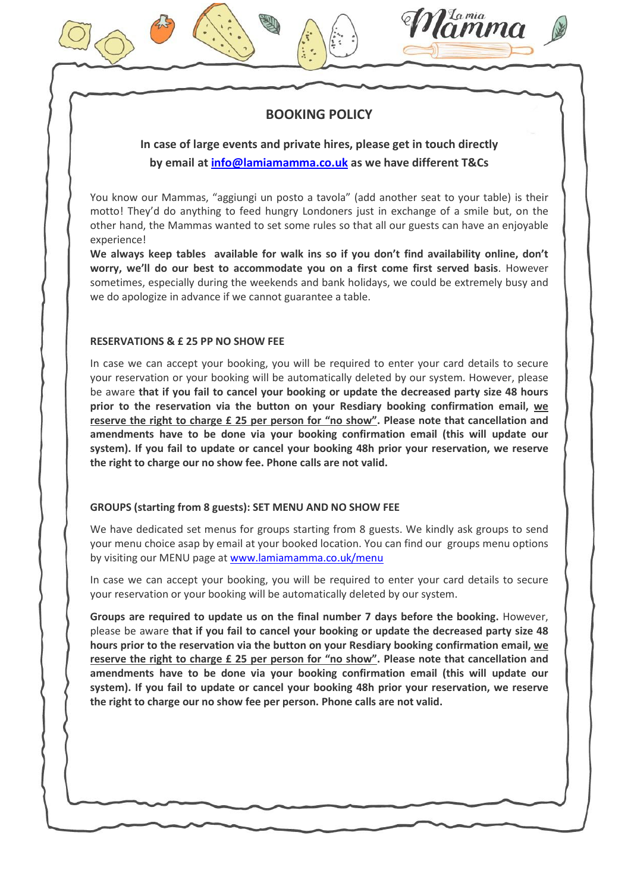# BOOKING POLICY

*La mia*<br>**UMM** 

In case of large events and private hires, please get in touch directly by email at *info@lamiamamma.co.uk* as we have different T&Cs

You know our Mammas, "aggiungi un posto a tavola" (add another seat to your table) is their motto! They'd do anything to feed hungry Londoners just in exchange of a smile but, on the other hand, the Mammas wanted to set some rules so that all our guests can have an enjoyable experience!

We always keep tables available for walk ins so if you don't find availability online, don't worry, we'll do our best to accommodate you on a first come first served basis. However sometimes, especially during the weekends and bank holidays, we could be extremely busy and we do apologize in advance if we cannot guarantee a table.

# RESERVATIONS & £ 25 PP NO SHOW FEE

In case we can accept your booking, you will be required to enter your card details to secure your reservation or your booking will be automatically deleted by our system. However, please be aware that if you fail to cancel your booking or update the decreased party size 48 hours prior to the reservation via the button on your Resdiary booking confirmation email, we reserve the right to charge £ 25 per person for "no show". Please note that cancellation and amendments have to be done via your booking confirmation email (this will update our system). If you fail to update or cancel your booking 48h prior your reservation, we reserve the right to charge our no show fee. Phone calls are not valid.

# GROUPS (starting from 8 guests): SET MENU AND NO SHOW FEE

We have dedicated set menus for groups starting from 8 guests. We kindly ask groups to send your menu choice asap by email at your booked location. You can find our groups menu options by visiting our MENU page at www.lamiamamma.co.uk/menu

In case we can accept your booking, you will be required to enter your card details to secure your reservation or your booking will be automatically deleted by our system.

Groups are required to update us on the final number 7 days before the booking. However, please be aware that if you fail to cancel your booking or update the decreased party size 48 hours prior to the reservation via the button on your Resdiary booking confirmation email, we reserve the right to charge £ 25 per person for "no show". Please note that cancellation and amendments have to be done via your booking confirmation email (this will update our system). If you fail to update or cancel your booking 48h prior your reservation, we reserve the right to charge our no show fee per person. Phone calls are not valid.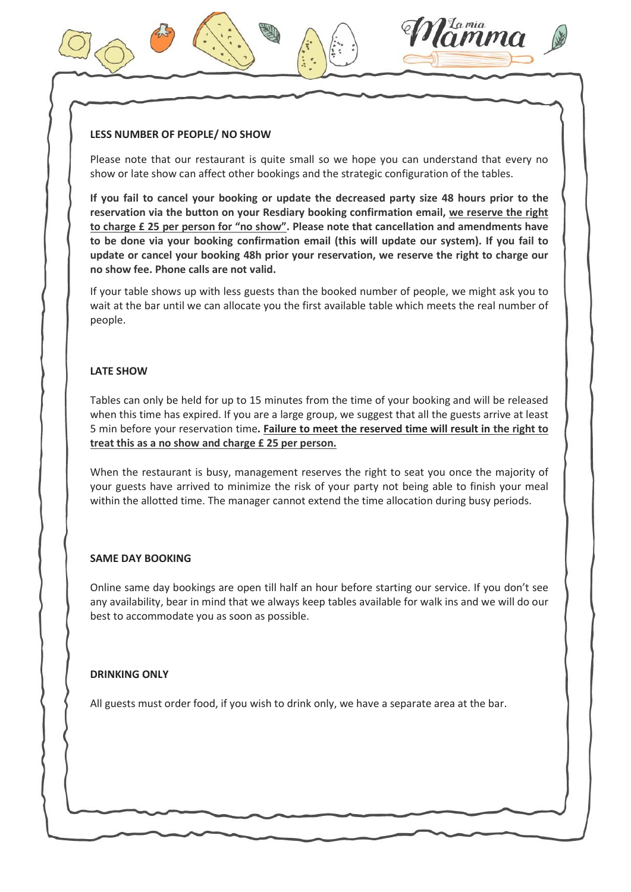#### LESS NUMBER OF PEOPLE/ NO SHOW

Please note that our restaurant is quite small so we hope you can understand that every no show or late show can affect other bookings and the strategic configuration of the tables.

If you fail to cancel your booking or update the decreased party size 48 hours prior to the reservation via the button on your Resdiary booking confirmation email, we reserve the right to charge £ 25 per person for "no show". Please note that cancellation and amendments have to be done via your booking confirmation email (this will update our system). If you fail to update or cancel your booking 48h prior your reservation, we reserve the right to charge our no show fee. Phone calls are not valid.

If your table shows up with less guests than the booked number of people, we might ask you to wait at the bar until we can allocate you the first available table which meets the real number of people.

#### LATE SHOW

Tables can only be held for up to 15 minutes from the time of your booking and will be released when this time has expired. If you are a large group, we suggest that all the guests arrive at least 5 min before your reservation time. Failure to meet the reserved time will result in the right to treat this as a no show and charge £ 25 per person.

When the restaurant is busy, management reserves the right to seat you once the majority of your guests have arrived to minimize the risk of your party not being able to finish your meal within the allotted time. The manager cannot extend the time allocation during busy periods.

#### SAME DAY BOOKING

Online same day bookings are open till half an hour before starting our service. If you don't see any availability, bear in mind that we always keep tables available for walk ins and we will do our best to accommodate you as soon as possible.

#### DRINKING ONLY

All guests must order food, if you wish to drink only, we have a separate area at the bar.